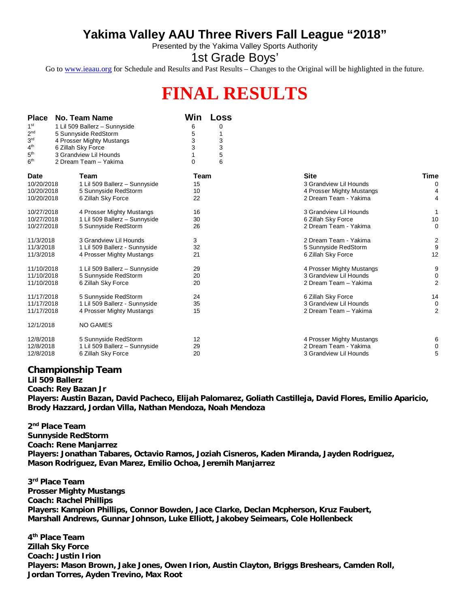## **Yakima Valley AAU Three Rivers Fall League "2018"**

Presented by the Yakima Valley Sports Authority

1st Grade Boys'

Go to [www.ieaau.org](http://www.ieaau.org) for Schedule and Results and Past Results – Changes to the Original will be highlighted in the future.

## **FINAL RESULTS**

| <b>Place</b><br>1 <sup>st</sup><br>2 <sup>nd</sup><br>3 <sup>rd</sup><br>4 <sup>th</sup><br>5 <sup>th</sup><br>6 <sup>th</sup> | No. Team Name<br>1 Lil 509 Ballerz - Sunnyside<br>5 Sunnyside RedStorm<br>4 Prosser Mighty Mustangs<br>6 Zillah Sky Force<br>3 Grandview Lil Hounds<br>2 Dream Team - Yakima | Win<br>6<br>5<br>3<br>3<br>1<br>0 | <b>Loss</b><br>0<br>1<br>3<br>3<br>5<br>6 |                                                                                             |                            |
|--------------------------------------------------------------------------------------------------------------------------------|------------------------------------------------------------------------------------------------------------------------------------------------------------------------------|-----------------------------------|-------------------------------------------|---------------------------------------------------------------------------------------------|----------------------------|
| <b>Date</b><br>10/20/2018<br>10/20/2018<br>10/20/2018                                                                          | <b>Team</b><br>1 Lil 509 Ballerz - Sunnyside<br>5 Sunnyside RedStorm<br>6 Zillah Sky Force                                                                                   | Team<br>15<br>10<br>22            |                                           | <b>Site</b><br>3 Grandview Lil Hounds<br>4 Prosser Mighty Mustangs<br>2 Dream Team - Yakima | <b>Time</b><br>0<br>4<br>4 |
| 10/27/2018<br>10/27/2018<br>10/27/2018                                                                                         | 4 Prosser Mighty Mustangs<br>1 Lil 509 Ballerz - Sunnyside<br>5 Sunnyside RedStorm                                                                                           | 16<br>30<br>26                    |                                           | 3 Grandview Lil Hounds<br>6 Zillah Sky Force<br>2 Dream Team - Yakima                       | 1<br>10<br>$\mathbf 0$     |
| 11/3/2018<br>11/3/2018<br>11/3/2018                                                                                            | 3 Grandview Lil Hounds<br>1 Lil 509 Ballerz - Sunnyside<br>4 Prosser Mighty Mustangs                                                                                         | 3<br>32<br>21                     |                                           | 2 Dream Team - Yakima<br>5 Sunnyside RedStorm<br>6 Zillah Sky Force                         | $\frac{2}{9}$<br>12        |
| 11/10/2018<br>11/10/2018<br>11/10/2018                                                                                         | 1 Lil 509 Ballerz - Sunnyside<br>5 Sunnyside RedStorm<br>6 Zillah Sky Force                                                                                                  | 29<br>20<br>20                    |                                           | 4 Prosser Mighty Mustangs<br>3 Grandview Lil Hounds<br>2 Dream Team - Yakima                | 9<br>0<br>$\overline{2}$   |
| 11/17/2018<br>11/17/2018<br>11/17/2018                                                                                         | 5 Sunnyside RedStorm<br>1 Lil 509 Ballerz - Sunnyside<br>4 Prosser Mighty Mustangs                                                                                           | 24<br>35<br>15                    |                                           | 6 Zillah Sky Force<br>3 Grandview Lil Hounds<br>2 Dream Team - Yakima                       | 14<br>0<br>$\overline{2}$  |
| 12/1/2018                                                                                                                      | <b>NO GAMES</b>                                                                                                                                                              |                                   |                                           |                                                                                             |                            |
| 12/8/2018<br>12/8/2018<br>12/8/2018                                                                                            | 5 Sunnyside RedStorm<br>1 Lil 509 Ballerz - Sunnyside<br>6 Zillah Sky Force                                                                                                  | 12<br>29<br>20                    |                                           | 4 Prosser Mighty Mustangs<br>2 Dream Team - Yakima<br>3 Grandview Lil Hounds                | 6<br>0<br>5                |

## **Championship Team**

**Lil 509 Ballerz Coach: Rey Bazan Jr Players: Austin Bazan, David Pacheco, Elijah Palomarez, Goliath Castilleja, David Flores, Emilio Aparicio, Brody Hazzard, Jordan Villa, Nathan Mendoza, Noah Mendoza**

**2 nd Place Team Sunnyside RedStorm Coach: Rene Manjarrez Players: Jonathan Tabares, Octavio Ramos, Joziah Cisneros, Kaden Miranda, Jayden Rodriguez, Mason Rodriguez, Evan Marez, Emilio Ochoa, Jeremih Manjarrez**

**3 rd Place Team Prosser Mighty Mustangs Coach: Rachel Phillips Players: Kampion Phillips, Connor Bowden, Jace Clarke, Declan Mcpherson, Kruz Faubert, Marshall Andrews, Gunnar Johnson, Luke Elliott, Jakobey Seimears, Cole Hollenbeck**

**4 th Place Team Zillah Sky Force Coach: Justin Irion Players: Mason Brown, Jake Jones, Owen Irion, Austin Clayton, Briggs Breshears, Camden Roll, Jordan Torres, Ayden Trevino, Max Root**